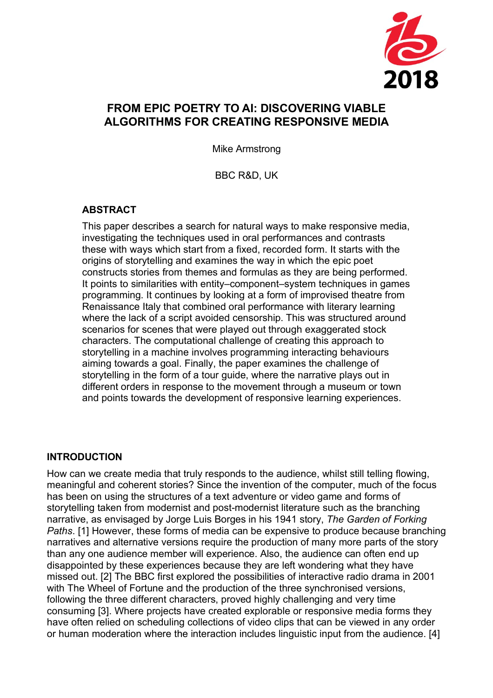

# **FROM EPIC POETRY TO AI: DISCOVERING VIABLE ALGORITHMS FOR CREATING RESPONSIVE MEDIA**

Mike Armstrong

BBC R&D, UK

### **ABSTRACT**

This paper describes a search for natural ways to make responsive media, investigating the techniques used in oral performances and contrasts these with ways which start from a fixed, recorded form. It starts with the origins of storytelling and examines the way in which the epic poet constructs stories from themes and formulas as they are being performed. It points to similarities with entity–component–system techniques in games programming. It continues by looking at a form of improvised theatre from Renaissance Italy that combined oral performance with literary learning where the lack of a script avoided censorship. This was structured around scenarios for scenes that were played out through exaggerated stock characters. The computational challenge of creating this approach to storytelling in a machine involves programming interacting behaviours aiming towards a goal. Finally, the paper examines the challenge of storytelling in the form of a tour guide, where the narrative plays out in different orders in response to the movement through a museum or town and points towards the development of responsive learning experiences.

#### **INTRODUCTION**

How can we create media that truly responds to the audience, whilst still telling flowing, meaningful and coherent stories? Since the invention of the computer, much of the focus has been on using the structures of a text adventure or video game and forms of storytelling taken from modernist and post-modernist literature such as the branching narrative, as envisaged by Jorge Luis Borges in his 1941 story, *The Garden of Forking Paths*. [1] However, these forms of media can be expensive to produce because branching narratives and alternative versions require the production of many more parts of the story than any one audience member will experience. Also, the audience can often end up disappointed by these experiences because they are left wondering what they have missed out. [2] The BBC first explored the possibilities of interactive radio drama in 2001 with The Wheel of Fortune and the production of the three synchronised versions, following the three different characters, proved highly challenging and very time consuming [3]. Where projects have created explorable or responsive media forms they have often relied on scheduling collections of video clips that can be viewed in any order or human moderation where the interaction includes linguistic input from the audience. [4]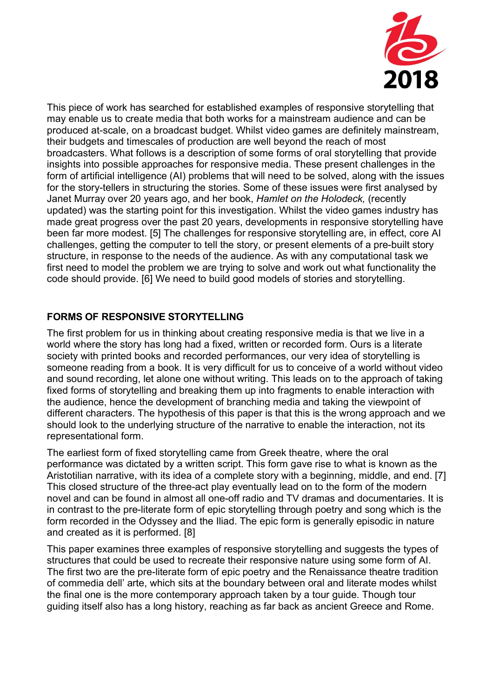

This piece of work has searched for established examples of responsive storytelling that may enable us to create media that both works for a mainstream audience and can be produced at-scale, on a broadcast budget. Whilst video games are definitely mainstream, their budgets and timescales of production are well beyond the reach of most broadcasters. What follows is a description of some forms of oral storytelling that provide insights into possible approaches for responsive media. These present challenges in the form of artificial intelligence (AI) problems that will need to be solved, along with the issues for the story-tellers in structuring the stories. Some of these issues were first analysed by Janet Murray over 20 years ago, and her book, *Hamlet on the Holodeck,* (recently updated) was the starting point for this investigation. Whilst the video games industry has made great progress over the past 20 years, developments in responsive storytelling have been far more modest. [5] The challenges for responsive storytelling are, in effect, core AI challenges, getting the computer to tell the story, or present elements of a pre-built story structure, in response to the needs of the audience. As with any computational task we first need to model the problem we are trying to solve and work out what functionality the code should provide. [6] We need to build good models of stories and storytelling.

## **FORMS OF RESPONSIVE STORYTELLING**

The first problem for us in thinking about creating responsive media is that we live in a world where the story has long had a fixed, written or recorded form. Ours is a literate society with printed books and recorded performances, our very idea of storytelling is someone reading from a book. It is very difficult for us to conceive of a world without video and sound recording, let alone one without writing. This leads on to the approach of taking fixed forms of storytelling and breaking them up into fragments to enable interaction with the audience, hence the development of branching media and taking the viewpoint of different characters. The hypothesis of this paper is that this is the wrong approach and we should look to the underlying structure of the narrative to enable the interaction, not its representational form.

The earliest form of fixed storytelling came from Greek theatre, where the oral performance was dictated by a written script. This form gave rise to what is known as the Aristotilian narrative, with its idea of a complete story with a beginning, middle, and end. [7] This closed structure of the three-act play eventually lead on to the form of the modern novel and can be found in almost all one-off radio and TV dramas and documentaries. It is in contrast to the pre-literate form of epic storytelling through poetry and song which is the form recorded in the Odyssey and the Iliad. The epic form is generally episodic in nature and created as it is performed. [8]

This paper examines three examples of responsive storytelling and suggests the types of structures that could be used to recreate their responsive nature using some form of AI. The first two are the pre-literate form of epic poetry and the Renaissance theatre tradition of commedia dell' arte, which sits at the boundary between oral and literate modes whilst the final one is the more contemporary approach taken by a tour guide. Though tour guiding itself also has a long history, reaching as far back as ancient Greece and Rome.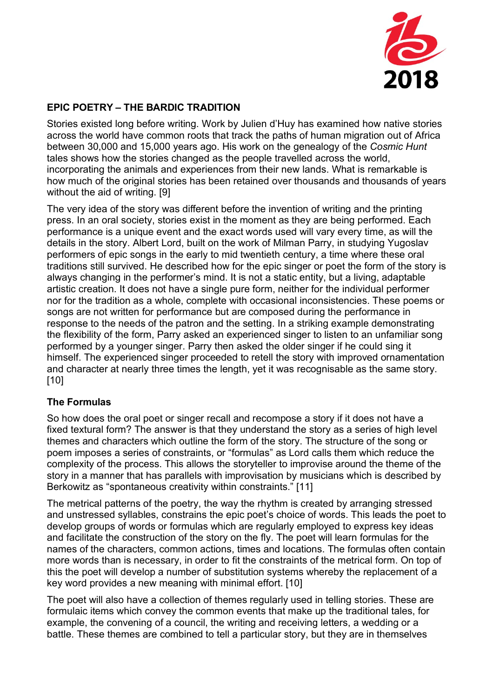

# **EPIC POETRY – THE BARDIC TRADITION**

Stories existed long before writing. Work by Julien d'Huy has examined how native stories across the world have common roots that track the paths of human migration out of Africa between 30,000 and 15,000 years ago. His work on the genealogy of the *Cosmic Hunt* tales shows how the stories changed as the people travelled across the world, incorporating the animals and experiences from their new lands. What is remarkable is how much of the original stories has been retained over thousands and thousands of years without the aid of writing. [9]

The very idea of the story was different before the invention of writing and the printing press. In an oral society, stories exist in the moment as they are being performed. Each performance is a unique event and the exact words used will vary every time, as will the details in the story. Albert Lord, built on the work of Milman Parry, in studying Yugoslav performers of epic songs in the early to mid twentieth century, a time where these oral traditions still survived. He described how for the epic singer or poet the form of the story is always changing in the performer's mind. It is not a static entity, but a living, adaptable artistic creation. It does not have a single pure form, neither for the individual performer nor for the tradition as a whole, complete with occasional inconsistencies. These poems or songs are not written for performance but are composed during the performance in response to the needs of the patron and the setting. In a striking example demonstrating the flexibility of the form, Parry asked an experienced singer to listen to an unfamiliar song performed by a younger singer. Parry then asked the older singer if he could sing it himself. The experienced singer proceeded to retell the story with improved ornamentation and character at nearly three times the length, yet it was recognisable as the same story. [10]

### **The Formulas**

So how does the oral poet or singer recall and recompose a story if it does not have a fixed textural form? The answer is that they understand the story as a series of high level themes and characters which outline the form of the story. The structure of the song or poem imposes a series of constraints, or "formulas" as Lord calls them which reduce the complexity of the process. This allows the storyteller to improvise around the theme of the story in a manner that has parallels with improvisation by musicians which is described by Berkowitz as "spontaneous creativity within constraints." [11]

The metrical patterns of the poetry, the way the rhythm is created by arranging stressed and unstressed syllables, constrains the epic poet's choice of words. This leads the poet to develop groups of words or formulas which are regularly employed to express key ideas and facilitate the construction of the story on the fly. The poet will learn formulas for the names of the characters, common actions, times and locations. The formulas often contain more words than is necessary, in order to fit the constraints of the metrical form. On top of this the poet will develop a number of substitution systems whereby the replacement of a key word provides a new meaning with minimal effort. [10]

The poet will also have a collection of themes regularly used in telling stories. These are formulaic items which convey the common events that make up the traditional tales, for example, the convening of a council, the writing and receiving letters, a wedding or a battle. These themes are combined to tell a particular story, but they are in themselves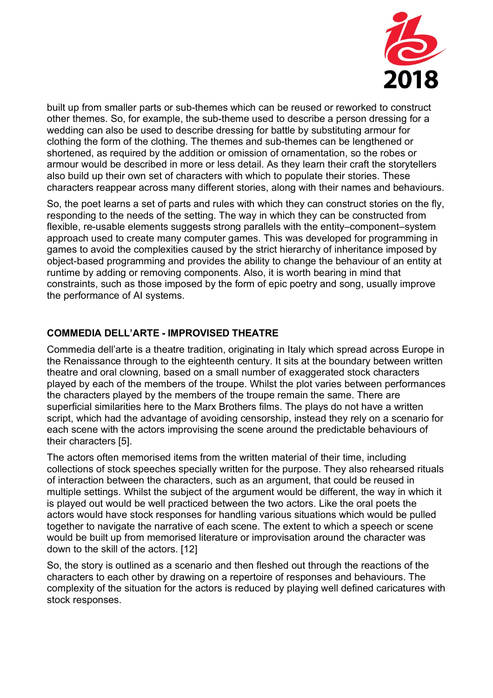

built up from smaller parts or sub-themes which can be reused or reworked to construct other themes. So, for example, the sub-theme used to describe a person dressing for a wedding can also be used to describe dressing for battle by substituting armour for clothing the form of the clothing. The themes and sub-themes can be lengthened or shortened, as required by the addition or omission of ornamentation, so the robes or armour would be described in more or less detail. As they learn their craft the storytellers also build up their own set of characters with which to populate their stories. These characters reappear across many different stories, along with their names and behaviours.

So, the poet learns a set of parts and rules with which they can construct stories on the fly, responding to the needs of the setting. The way in which they can be constructed from flexible, re-usable elements suggests strong parallels with the entity–component–system approach used to create many computer games. This was developed for programming in games to avoid the complexities caused by the strict hierarchy of inheritance imposed by object-based programming and provides the ability to change the behaviour of an entity at runtime by adding or removing components. Also, it is worth bearing in mind that constraints, such as those imposed by the form of epic poetry and song, usually improve the performance of AI systems.

## **COMMEDIA DELL'ARTE - IMPROVISED THEATRE**

Commedia dell'arte is a theatre tradition, originating in Italy which spread across Europe in the Renaissance through to the eighteenth century. It sits at the boundary between written theatre and oral clowning, based on a small number of exaggerated stock characters played by each of the members of the troupe. Whilst the plot varies between performances the characters played by the members of the troupe remain the same. There are superficial similarities here to the Marx Brothers films. The plays do not have a written script, which had the advantage of avoiding censorship, instead they rely on a scenario for each scene with the actors improvising the scene around the predictable behaviours of their characters [5].

The actors often memorised items from the written material of their time, including collections of stock speeches specially written for the purpose. They also rehearsed rituals of interaction between the characters, such as an argument, that could be reused in multiple settings. Whilst the subject of the argument would be different, the way in which it is played out would be well practiced between the two actors. Like the oral poets the actors would have stock responses for handling various situations which would be pulled together to navigate the narrative of each scene. The extent to which a speech or scene would be built up from memorised literature or improvisation around the character was down to the skill of the actors. [12]

So, the story is outlined as a scenario and then fleshed out through the reactions of the characters to each other by drawing on a repertoire of responses and behaviours. The complexity of the situation for the actors is reduced by playing well defined caricatures with stock responses.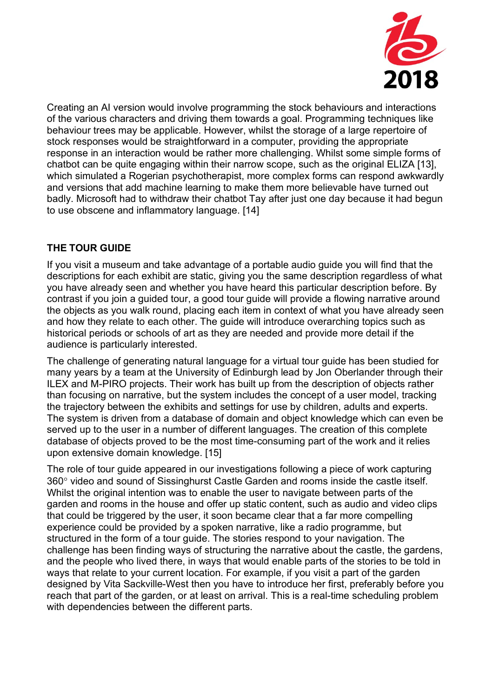

Creating an AI version would involve programming the stock behaviours and interactions of the various characters and driving them towards a goal. Programming techniques like behaviour trees may be applicable. However, whilst the storage of a large repertoire of stock responses would be straightforward in a computer, providing the appropriate response in an interaction would be rather more challenging. Whilst some simple forms of chatbot can be quite engaging within their narrow scope, such as the original ELIZA [13], which simulated a Rogerian psychotherapist, more complex forms can respond awkwardly and versions that add machine learning to make them more believable have turned out badly. Microsoft had to withdraw their chatbot Tay after just one day because it had begun to use obscene and inflammatory language. [14]

# **THE TOUR GUIDE**

If you visit a museum and take advantage of a portable audio guide you will find that the descriptions for each exhibit are static, giving you the same description regardless of what you have already seen and whether you have heard this particular description before. By contrast if you join a guided tour, a good tour guide will provide a flowing narrative around the objects as you walk round, placing each item in context of what you have already seen and how they relate to each other. The guide will introduce overarching topics such as historical periods or schools of art as they are needed and provide more detail if the audience is particularly interested.

The challenge of generating natural language for a virtual tour guide has been studied for many years by a team at the University of Edinburgh lead by Jon Oberlander through their ILEX and M-PIRO projects. Their work has built up from the description of objects rather than focusing on narrative, but the system includes the concept of a user model, tracking the trajectory between the exhibits and settings for use by children, adults and experts. The system is driven from a database of domain and object knowledge which can even be served up to the user in a number of different languages. The creation of this complete database of objects proved to be the most time-consuming part of the work and it relies upon extensive domain knowledge. [15]

The role of tour guide appeared in our investigations following a piece of work capturing 360° video and sound of Sissinghurst Castle Garden and rooms inside the castle itself. Whilst the original intention was to enable the user to navigate between parts of the garden and rooms in the house and offer up static content, such as audio and video clips that could be triggered by the user, it soon became clear that a far more compelling experience could be provided by a spoken narrative, like a radio programme, but structured in the form of a tour guide. The stories respond to your navigation. The challenge has been finding ways of structuring the narrative about the castle, the gardens, and the people who lived there, in ways that would enable parts of the stories to be told in ways that relate to your current location. For example, if you visit a part of the garden designed by Vita Sackville-West then you have to introduce her first, preferably before you reach that part of the garden, or at least on arrival. This is a real-time scheduling problem with dependencies between the different parts.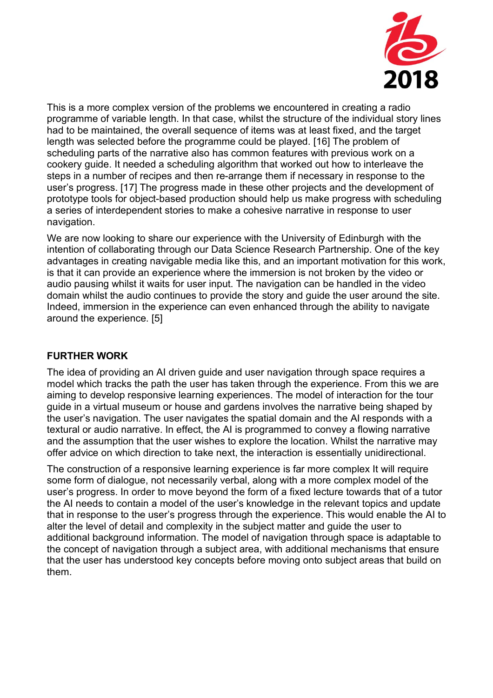

This is a more complex version of the problems we encountered in creating a radio programme of variable length. In that case, whilst the structure of the individual story lines had to be maintained, the overall sequence of items was at least fixed, and the target length was selected before the programme could be played. [16] The problem of scheduling parts of the narrative also has common features with previous work on a cookery guide. It needed a scheduling algorithm that worked out how to interleave the steps in a number of recipes and then re-arrange them if necessary in response to the user's progress. [17] The progress made in these other projects and the development of prototype tools for object-based production should help us make progress with scheduling a series of interdependent stories to make a cohesive narrative in response to user navigation.

We are now looking to share our experience with the University of Edinburgh with the intention of collaborating through our Data Science Research Partnership. One of the key advantages in creating navigable media like this, and an important motivation for this work, is that it can provide an experience where the immersion is not broken by the video or audio pausing whilst it waits for user input. The navigation can be handled in the video domain whilst the audio continues to provide the story and guide the user around the site. Indeed, immersion in the experience can even enhanced through the ability to navigate around the experience. [5]

### **FURTHER WORK**

The idea of providing an AI driven guide and user navigation through space requires a model which tracks the path the user has taken through the experience. From this we are aiming to develop responsive learning experiences. The model of interaction for the tour guide in a virtual museum or house and gardens involves the narrative being shaped by the user's navigation. The user navigates the spatial domain and the AI responds with a textural or audio narrative. In effect, the AI is programmed to convey a flowing narrative and the assumption that the user wishes to explore the location. Whilst the narrative may offer advice on which direction to take next, the interaction is essentially unidirectional.

The construction of a responsive learning experience is far more complex It will require some form of dialogue, not necessarily verbal, along with a more complex model of the user's progress. In order to move beyond the form of a fixed lecture towards that of a tutor the AI needs to contain a model of the user's knowledge in the relevant topics and update that in response to the user's progress through the experience. This would enable the AI to alter the level of detail and complexity in the subject matter and guide the user to additional background information. The model of navigation through space is adaptable to the concept of navigation through a subject area, with additional mechanisms that ensure that the user has understood key concepts before moving onto subject areas that build on them.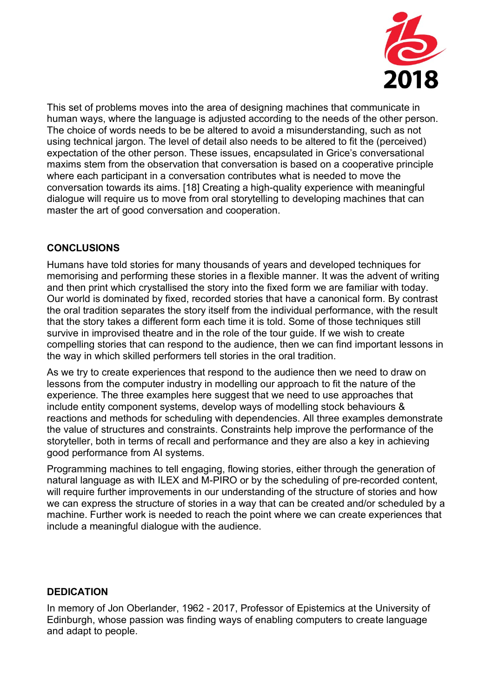

This set of problems moves into the area of designing machines that communicate in human ways, where the language is adjusted according to the needs of the other person. The choice of words needs to be be altered to avoid a misunderstanding, such as not using technical jargon. The level of detail also needs to be altered to fit the (perceived) expectation of the other person. These issues, encapsulated in Grice's conversational maxims stem from the observation that conversation is based on a cooperative principle where each participant in a conversation contributes what is needed to move the conversation towards its aims. [18] Creating a high-quality experience with meaningful dialogue will require us to move from oral storytelling to developing machines that can master the art of good conversation and cooperation.

## **CONCLUSIONS**

Humans have told stories for many thousands of years and developed techniques for memorising and performing these stories in a flexible manner. It was the advent of writing and then print which crystallised the story into the fixed form we are familiar with today. Our world is dominated by fixed, recorded stories that have a canonical form. By contrast the oral tradition separates the story itself from the individual performance, with the result that the story takes a different form each time it is told. Some of those techniques still survive in improvised theatre and in the role of the tour guide. If we wish to create compelling stories that can respond to the audience, then we can find important lessons in the way in which skilled performers tell stories in the oral tradition.

As we try to create experiences that respond to the audience then we need to draw on lessons from the computer industry in modelling our approach to fit the nature of the experience. The three examples here suggest that we need to use approaches that include entity component systems, develop ways of modelling stock behaviours & reactions and methods for scheduling with dependencies. All three examples demonstrate the value of structures and constraints. Constraints help improve the performance of the storyteller, both in terms of recall and performance and they are also a key in achieving good performance from AI systems.

Programming machines to tell engaging, flowing stories, either through the generation of natural language as with ILEX and M-PIRO or by the scheduling of pre-recorded content, will require further improvements in our understanding of the structure of stories and how we can express the structure of stories in a way that can be created and/or scheduled by a machine. Further work is needed to reach the point where we can create experiences that include a meaningful dialogue with the audience.

### **DEDICATION**

In memory of Jon Oberlander, 1962 - 2017, Professor of Epistemics at the University of Edinburgh, whose passion was finding ways of enabling computers to create language and adapt to people.